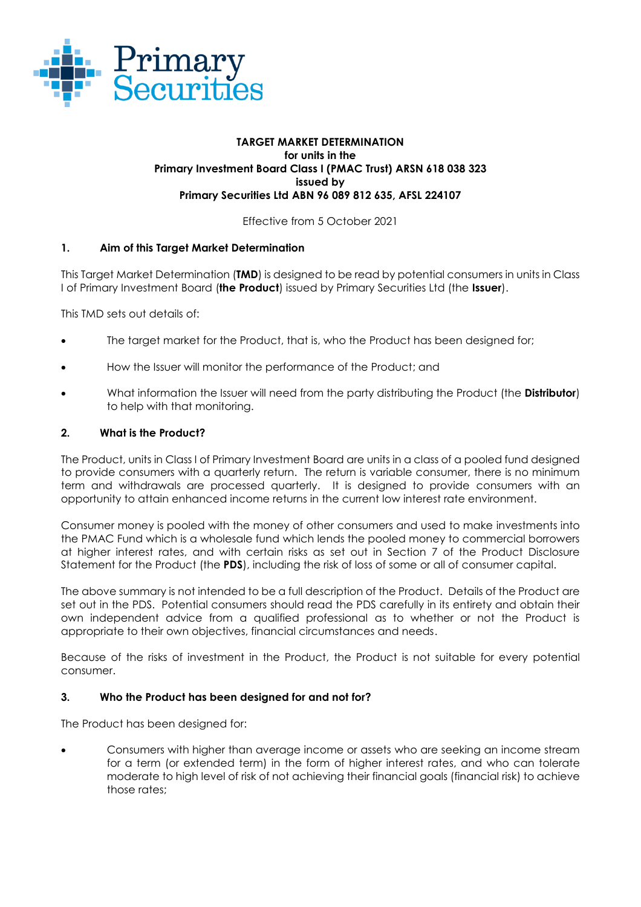

### **TARGET MARKET DETERMINATION for units in the Primary Investment Board Class I (PMAC Trust) ARSN 618 038 323 issued by Primary Securities Ltd ABN 96 089 812 635, AFSL 224107**

Effective from 5 October 2021

# **1. Aim of this Target Market Determination**

This Target Market Determination (**TMD**) is designed to be read by potential consumers in units in Class I of Primary Investment Board (**the Product**) issued by Primary Securities Ltd (the **Issuer**).

This TMD sets out details of:

- The target market for the Product, that is, who the Product has been designed for;
- How the Issuer will monitor the performance of the Product; and
- What information the Issuer will need from the party distributing the Product (the **Distributor**) to help with that monitoring.

## **2. What is the Product?**

The Product, units in Class I of Primary Investment Board are units in a class of a pooled fund designed to provide consumers with a quarterly return. The return is variable consumer, there is no minimum term and withdrawals are processed quarterly. It is designed to provide consumers with an opportunity to attain enhanced income returns in the current low interest rate environment.

Consumer money is pooled with the money of other consumers and used to make investments into the PMAC Fund which is a wholesale fund which lends the pooled money to commercial borrowers at higher interest rates, and with certain risks as set out in Section 7 of the Product Disclosure Statement for the Product (the **PDS**), including the risk of loss of some or all of consumer capital.

The above summary is not intended to be a full description of the Product. Details of the Product are set out in the PDS. Potential consumers should read the PDS carefully in its entirety and obtain their own independent advice from a qualified professional as to whether or not the Product is appropriate to their own objectives, financial circumstances and needs.

Because of the risks of investment in the Product, the Product is not suitable for every potential consumer.

### **3. Who the Product has been designed for and not for?**

The Product has been designed for:

• Consumers with higher than average income or assets who are seeking an income stream for a term (or extended term) in the form of higher interest rates, and who can tolerate moderate to high level of risk of not achieving their financial goals (financial risk) to achieve those rates;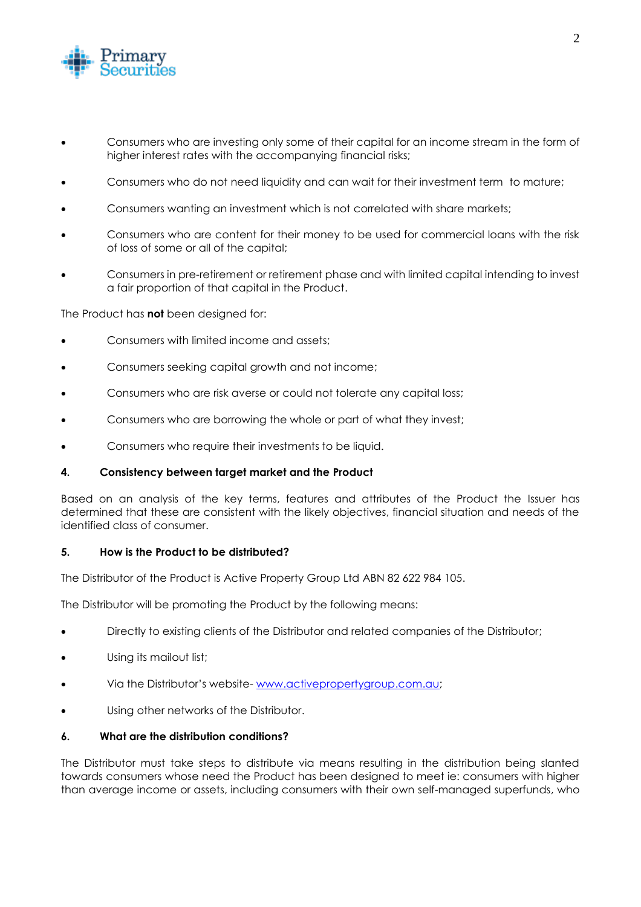

- Consumers who are investing only some of their capital for an income stream in the form of higher interest rates with the accompanying financial risks;
- Consumers who do not need liquidity and can wait for their investment term to mature;
- Consumers wanting an investment which is not correlated with share markets;
- Consumers who are content for their money to be used for commercial loans with the risk of loss of some or all of the capital;
- Consumers in pre-retirement or retirement phase and with limited capital intending to invest a fair proportion of that capital in the Product.

The Product has **not** been designed for:

- Consumers with limited income and assets;
- Consumers seeking capital growth and not income;
- Consumers who are risk averse or could not tolerate any capital loss;
- Consumers who are borrowing the whole or part of what they invest;
- Consumers who require their investments to be liquid.

### **4. Consistency between target market and the Product**

Based on an analysis of the key terms, features and attributes of the Product the Issuer has determined that these are consistent with the likely objectives, financial situation and needs of the identified class of consumer.

### **5. How is the Product to be distributed?**

The Distributor of the Product is Active Property Group Ltd ABN 82 622 984 105.

The Distributor will be promoting the Product by the following means:

- Directly to existing clients of the Distributor and related companies of the Distributor;
- Using its mailout list;
- Via the Distributor's website- [www.activepropertygroup.com.au;](http://www.activepropertygroup.com.au/)
- Using other networks of the Distributor.

## **6. What are the distribution conditions?**

The Distributor must take steps to distribute via means resulting in the distribution being slanted towards consumers whose need the Product has been designed to meet ie: consumers with higher than average income or assets, including consumers with their own self-managed superfunds, who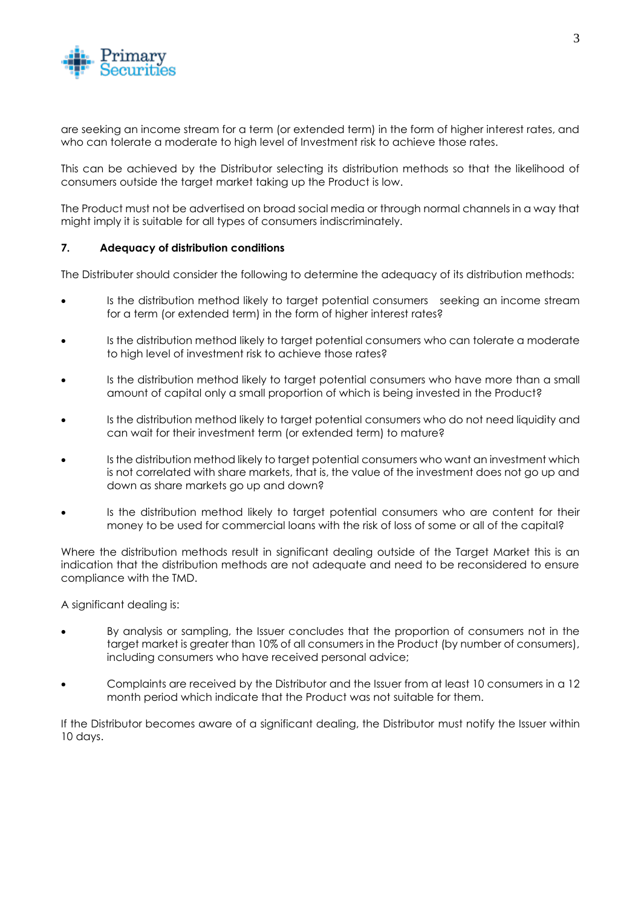

are seeking an income stream for a term (or extended term) in the form of higher interest rates, and who can tolerate a moderate to high level of Investment risk to achieve those rates.

This can be achieved by the Distributor selecting its distribution methods so that the likelihood of consumers outside the target market taking up the Product is low.

The Product must not be advertised on broad social media or through normal channels in a way that might imply it is suitable for all types of consumers indiscriminately.

### **7. Adequacy of distribution conditions**

The Distributer should consider the following to determine the adequacy of its distribution methods:

- Is the distribution method likely to target potential consumers seeking an income stream for a term (or extended term) in the form of higher interest rates?
- Is the distribution method likely to target potential consumers who can tolerate a moderate to high level of investment risk to achieve those rates?
- Is the distribution method likely to target potential consumers who have more than a small amount of capital only a small proportion of which is being invested in the Product?
- Is the distribution method likely to target potential consumers who do not need liquidity and can wait for their investment term (or extended term) to mature?
- Is the distribution method likely to target potential consumers who want an investment which is not correlated with share markets, that is, the value of the investment does not go up and down as share markets go up and down?
- Is the distribution method likely to target potential consumers who are content for their money to be used for commercial loans with the risk of loss of some or all of the capital?

Where the distribution methods result in significant dealing outside of the Target Market this is an indication that the distribution methods are not adequate and need to be reconsidered to ensure compliance with the TMD.

A significant dealing is:

- By analysis or sampling, the Issuer concludes that the proportion of consumers not in the target market is greater than 10% of all consumers in the Product (by number of consumers), including consumers who have received personal advice;
- Complaints are received by the Distributor and the Issuer from at least 10 consumers in a 12 month period which indicate that the Product was not suitable for them.

If the Distributor becomes aware of a significant dealing, the Distributor must notify the Issuer within 10 days.